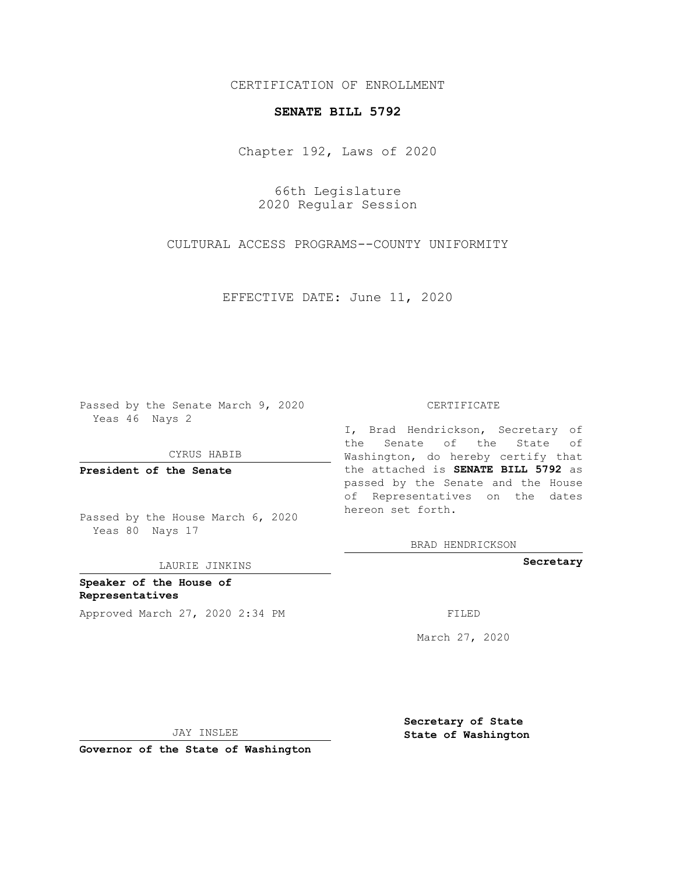### CERTIFICATION OF ENROLLMENT

#### **SENATE BILL 5792**

Chapter 192, Laws of 2020

66th Legislature 2020 Regular Session

CULTURAL ACCESS PROGRAMS--COUNTY UNIFORMITY

EFFECTIVE DATE: June 11, 2020

Passed by the Senate March 9, 2020 Yeas 46 Nays 2

CYRUS HABIB

**President of the Senate**

Passed by the House March 6, 2020 Yeas 80 Nays 17

LAURIE JINKINS

**Speaker of the House of Representatives** Approved March 27, 2020 2:34 PM

#### CERTIFICATE

I, Brad Hendrickson, Secretary of the Senate of the State of Washington, do hereby certify that the attached is **SENATE BILL 5792** as passed by the Senate and the House of Representatives on the dates hereon set forth.

BRAD HENDRICKSON

**Secretary**

March 27, 2020

JAY INSLEE

**Governor of the State of Washington**

**Secretary of State State of Washington**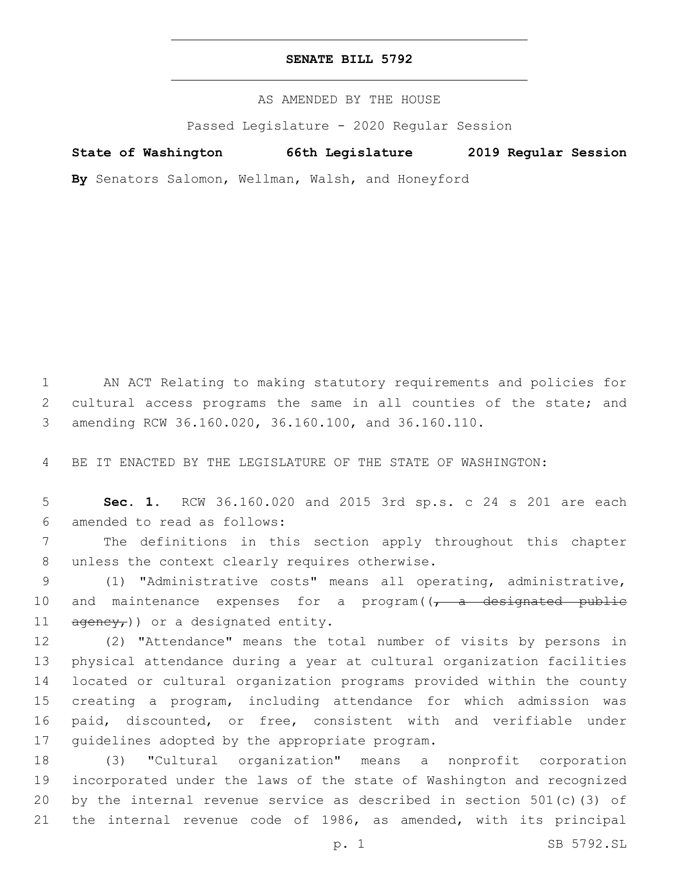#### **SENATE BILL 5792**

AS AMENDED BY THE HOUSE

Passed Legislature - 2020 Regular Session

**State of Washington 66th Legislature 2019 Regular Session**

**By** Senators Salomon, Wellman, Walsh, and Honeyford

1 AN ACT Relating to making statutory requirements and policies for 2 cultural access programs the same in all counties of the state; and 3 amending RCW 36.160.020, 36.160.100, and 36.160.110.

4 BE IT ENACTED BY THE LEGISLATURE OF THE STATE OF WASHINGTON:

5 **Sec. 1.** RCW 36.160.020 and 2015 3rd sp.s. c 24 s 201 are each amended to read as follows:6

7 The definitions in this section apply throughout this chapter 8 unless the context clearly requires otherwise.

9 (1) "Administrative costs" means all operating, administrative, 10 and maintenance expenses for a program( $(-a - de$ designated public 11  $\frac{1}{\text{degree}}$ )) or a designated entity.

 (2) "Attendance" means the total number of visits by persons in physical attendance during a year at cultural organization facilities located or cultural organization programs provided within the county creating a program, including attendance for which admission was paid, discounted, or free, consistent with and verifiable under 17 guidelines adopted by the appropriate program.

 (3) "Cultural organization" means a nonprofit corporation incorporated under the laws of the state of Washington and recognized by the internal revenue service as described in section 501(c)(3) of the internal revenue code of 1986, as amended, with its principal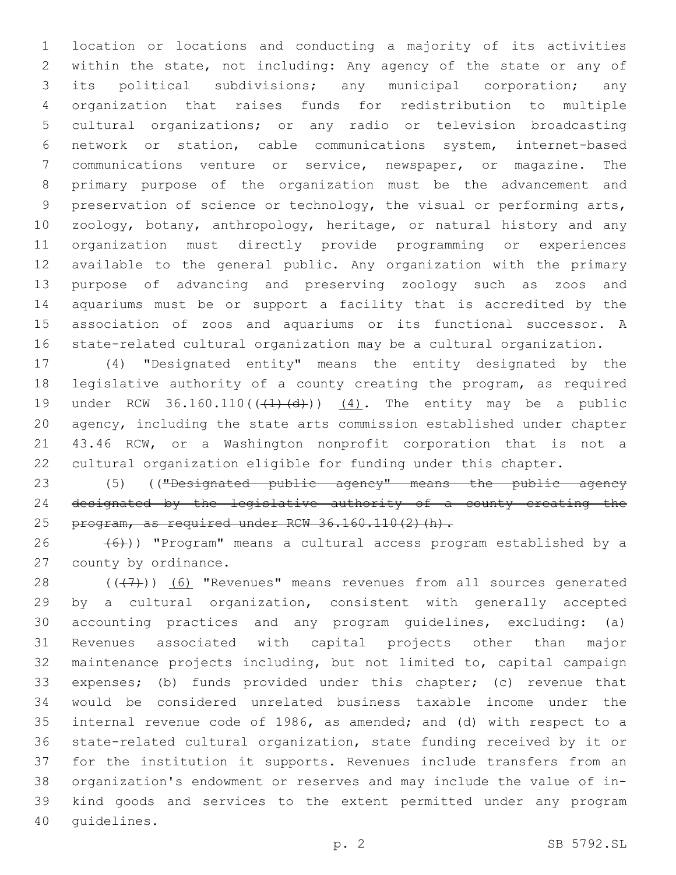location or locations and conducting a majority of its activities within the state, not including: Any agency of the state or any of its political subdivisions; any municipal corporation; any organization that raises funds for redistribution to multiple cultural organizations; or any radio or television broadcasting network or station, cable communications system, internet-based communications venture or service, newspaper, or magazine. The primary purpose of the organization must be the advancement and preservation of science or technology, the visual or performing arts, zoology, botany, anthropology, heritage, or natural history and any organization must directly provide programming or experiences available to the general public. Any organization with the primary purpose of advancing and preserving zoology such as zoos and aquariums must be or support a facility that is accredited by the association of zoos and aquariums or its functional successor. A state-related cultural organization may be a cultural organization.

 (4) "Designated entity" means the entity designated by the legislative authority of a county creating the program, as required 19 under RCW  $36.160.110((\overline{+1}+\overline{d}))$   $(4)$ . The entity may be a public agency, including the state arts commission established under chapter 43.46 RCW, or a Washington nonprofit corporation that is not a cultural organization eligible for funding under this chapter.

 (5) (("Designated public agency" means the public agency designated by the legislative authority of a county creating the 25 program, as required under RCW  $36.160.110(2)(h)$ .

 (6))) "Program" means a cultural access program established by a 27 county by ordinance.

28 ((+7)) (6) "Revenues" means revenues from all sources generated by a cultural organization, consistent with generally accepted accounting practices and any program guidelines, excluding: (a) Revenues associated with capital projects other than major maintenance projects including, but not limited to, capital campaign expenses; (b) funds provided under this chapter; (c) revenue that would be considered unrelated business taxable income under the internal revenue code of 1986, as amended; and (d) with respect to a state-related cultural organization, state funding received by it or for the institution it supports. Revenues include transfers from an organization's endowment or reserves and may include the value of in- kind goods and services to the extent permitted under any program 40 quidelines.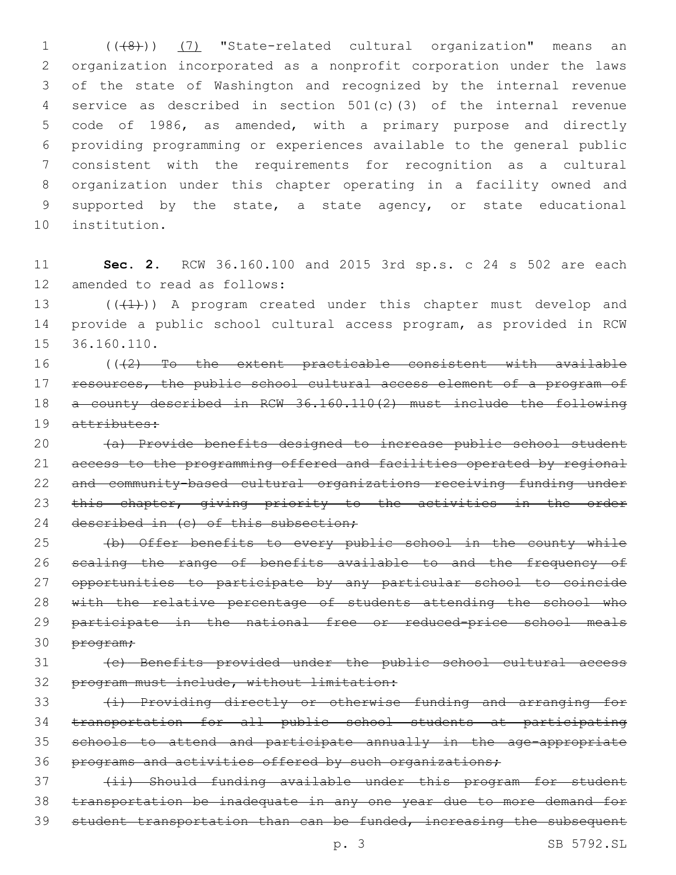1 (((48)) (7) "State-related cultural organization" means an organization incorporated as a nonprofit corporation under the laws of the state of Washington and recognized by the internal revenue service as described in section 501(c)(3) of the internal revenue code of 1986, as amended, with a primary purpose and directly providing programming or experiences available to the general public consistent with the requirements for recognition as a cultural organization under this chapter operating in a facility owned and supported by the state, a state agency, or state educational 10 institution.

11 **Sec. 2.** RCW 36.160.100 and 2015 3rd sp.s. c 24 s 502 are each 12 amended to read as follows:

13 (((41))) A program created under this chapter must develop and 14 provide a public school cultural access program, as provided in RCW 15 36.160.110.

16 (((2) To the extent practicable consistent with available 17 resources, the public school cultural access element of a program of 18 a county described in RCW 36.160.110(2) must include the following 19 attributes:

20 (a) Provide benefits designed to increase public school student 21 access to the programming offered and facilities operated by regional 22 and community-based cultural organizations receiving funding under 23 this chapter, giving priority to the activities in the order 24 described in (c) of this subsection;

25 (b) Offer benefits to every public school in the county while 26 scaling the range of benefits available to and the frequency of 27 opportunities to participate by any particular school to coincide 28 with the relative percentage of students attending the school who 29 participate in the national free or reduced-price school meals 30 program;

## 31 (c) Benefits provided under the public school cultural access 32 program must include, without limitation:

33 (i) Providing directly or otherwise funding and arranging for 34 transportation for all public school students at participating 35 schools to attend and participate annually in the age-appropriate 36 programs and activities offered by such organizations;

37 (ii) Should funding available under this program for student 38 transportation be inadequate in any one year due to more demand for 39 student transportation than can be funded, increasing the subsequent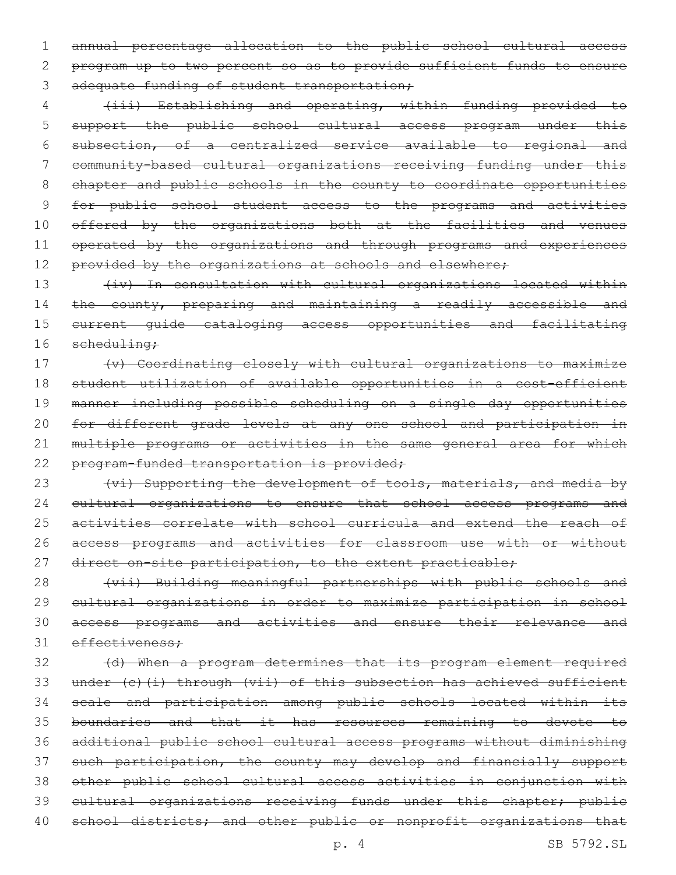annual percentage allocation to the public school cultural access program up to two percent so as to provide sufficient funds to ensure 3 adequate funding of student transportation;

 (iii) Establishing and operating, within funding provided to 5 support the public school cultural access program under this subsection, of a centralized service available to regional and community-based cultural organizations receiving funding under this chapter and public schools in the county to coordinate opportunities for public school student access to the programs and activities offered by the organizations both at the facilities and venues 11 operated by the organizations and through programs and experiences 12 provided by the organizations at schools and elsewhere;

13 (iv) In consultation with cultural organizations located within 14 the county, preparing and maintaining a readily accessible and current guide cataloging access opportunities and facilitating 16 scheduling;

 (v) Coordinating closely with cultural organizations to maximize student utilization of available opportunities in a cost-efficient manner including possible scheduling on a single day opportunities for different grade levels at any one school and participation in 21 multiple programs or activities in the same general area for which 22 program-funded transportation is provided;

23 (vi) Supporting the development of tools, materials, and media by 24 cultural organizations to ensure that school access programs and activities correlate with school curricula and extend the reach of access programs and activities for classroom use with or without 27 direct on-site participation, to the extent practicable;

 (vii) Building meaningful partnerships with public schools and cultural organizations in order to maximize participation in school access programs and activities and ensure their relevance and 31 effectiveness;

 (d) When a program determines that its program element required under (c)(i) through (vii) of this subsection has achieved sufficient scale and participation among public schools located within its boundaries and that it has resources remaining to devote to additional public school cultural access programs without diminishing such participation, the county may develop and financially support other public school cultural access activities in conjunction with 39 cultural organizations receiving funds under this chapter; public 40 school districts; and other public or nonprofit organizations that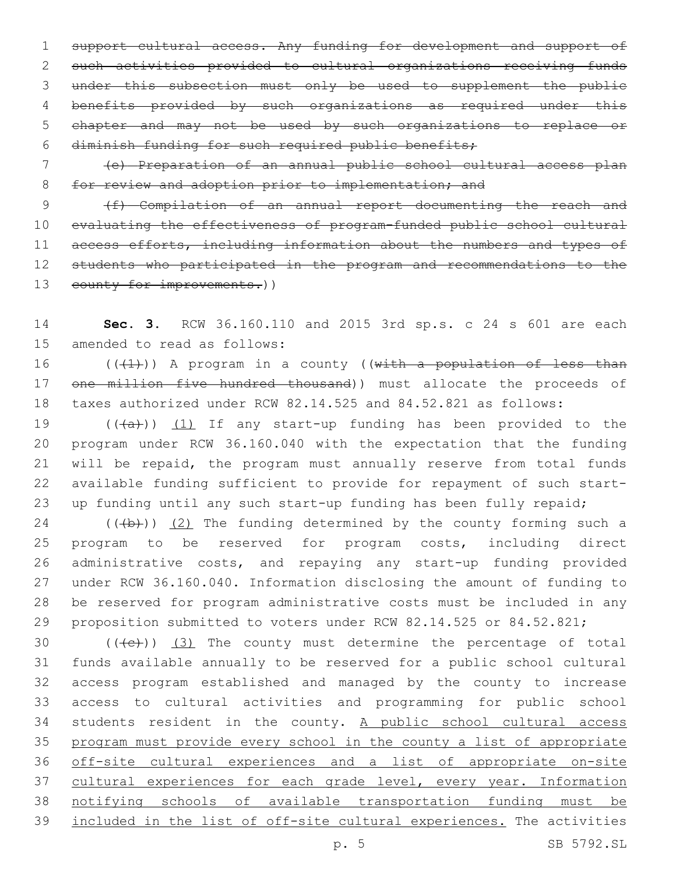support cultural access. Any funding for development and support of such activities provided to cultural organizations receiving funds under this subsection must only be used to supplement the public benefits provided by such organizations as required under this chapter and may not be used by such organizations to replace or diminish funding for such required public benefits;

 (e) Preparation of an annual public school cultural access plan 8 for review and adoption prior to implementation; and

9 (f) Compilation of an annual report documenting the reach and evaluating the effectiveness of program-funded public school cultural access efforts, including information about the numbers and types of students who participated in the program and recommendations to the 13 county for improvements.))

 **Sec. 3.** RCW 36.160.110 and 2015 3rd sp.s. c 24 s 601 are each 15 amended to read as follows:

 $((+1))$  A program in a county ((with a population of less than 17 one million five hundred thousand)) must allocate the proceeds of taxes authorized under RCW 82.14.525 and 84.52.821 as follows:

 $((+a))$   $(1)$  If any start-up funding has been provided to the program under RCW 36.160.040 with the expectation that the funding will be repaid, the program must annually reserve from total funds available funding sufficient to provide for repayment of such start-23 up funding until any such start-up funding has been fully repaid;

 (( $\left(\frac{1}{2}\right)$ ) (2) The funding determined by the county forming such a program to be reserved for program costs, including direct administrative costs, and repaying any start-up funding provided under RCW 36.160.040. Information disclosing the amount of funding to be reserved for program administrative costs must be included in any proposition submitted to voters under RCW 82.14.525 or 84.52.821;

 $((+e))$   $(3)$  The county must determine the percentage of total funds available annually to be reserved for a public school cultural access program established and managed by the county to increase access to cultural activities and programming for public school 34 students resident in the county. A public school cultural access program must provide every school in the county a list of appropriate off-site cultural experiences and a list of appropriate on-site 37 cultural experiences for each grade level, every year. Information notifying schools of available transportation funding must be included in the list of off-site cultural experiences. The activities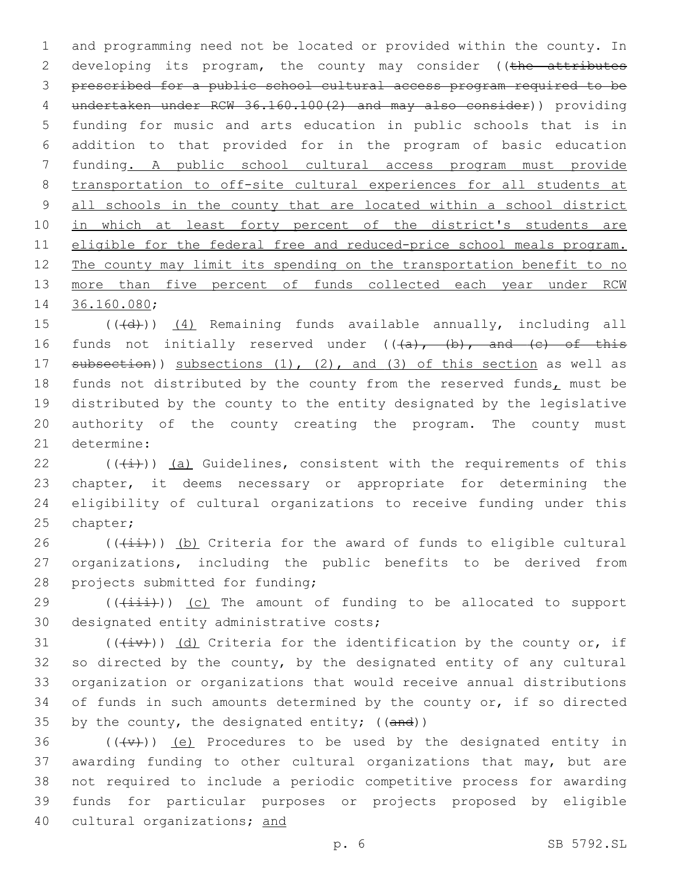1 and programming need not be located or provided within the county. In 2 developing its program, the county may consider ((the attributes 3 prescribed for a public school cultural access program required to be 4 undertaken under RCW 36.160.100(2) and may also consider)) providing 5 funding for music and arts education in public schools that is in 6 addition to that provided for in the program of basic education 7 funding. A public school cultural access program must provide 8 transportation to off-site cultural experiences for all students at 9 all schools in the county that are located within a school district 10 in which at least forty percent of the district's students are 11 eligible for the federal free and reduced-price school meals program. 12 The county may limit its spending on the transportation benefit to no 13 more than five percent of funds collected each year under RCW 14 36.160.080;

15 (((d))) (4) Remaining funds available annually, including all 16 funds not initially reserved under  $((a), (b),$  and  $(c)$  of this 17 subsection)) subsections (1), (2), and (3) of this section as well as 18 funds not distributed by the county from the reserved funds $<sub>L</sub>$  must be</sub> 19 distributed by the county to the entity designated by the legislative 20 authority of the county creating the program. The county must 21 determine:

 $((\overline{(+)}))$  (a) Guidelines, consistent with the requirements of this chapter, it deems necessary or appropriate for determining the eligibility of cultural organizations to receive funding under this 25 chapter;

 $26$  (( $(iii)$ )) (b) Criteria for the award of funds to eligible cultural 27 organizations, including the public benefits to be derived from 28 projects submitted for funding;

29 (((iii))) (c) The amount of funding to be allocated to support 30 designated entity administrative costs;

31 ( $(\overline{(+i\cdot)}')$  (d) Criteria for the identification by the county or, if 32 so directed by the county, by the designated entity of any cultural 33 organization or organizations that would receive annual distributions 34 of funds in such amounts determined by the county or, if so directed 35 by the county, the designated entity;  $((and))$ 

 $((+\nabla)^2)(e)$  Procedures to be used by the designated entity in awarding funding to other cultural organizations that may, but are not required to include a periodic competitive process for awarding funds for particular purposes or projects proposed by eligible cultural organizations; and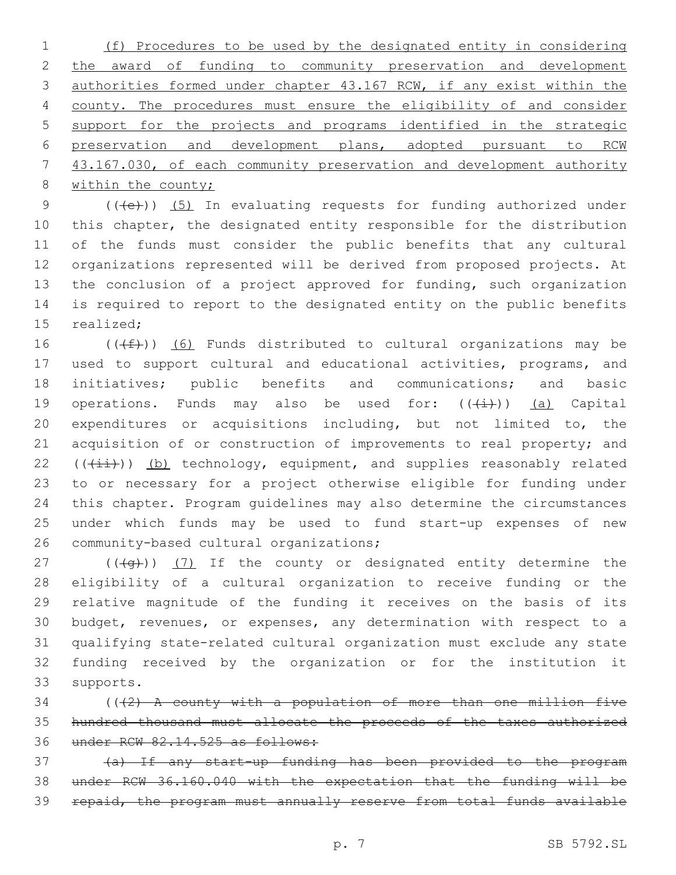(f) Procedures to be used by the designated entity in considering 2 the award of funding to community preservation and development authorities formed under chapter 43.167 RCW, if any exist within the county. The procedures must ensure the eligibility of and consider support for the projects and programs identified in the strategic preservation and development plans, adopted pursuant to RCW 43.167.030, of each community preservation and development authority 8 within the county;

9 (((e)) (5) In evaluating requests for funding authorized under this chapter, the designated entity responsible for the distribution of the funds must consider the public benefits that any cultural organizations represented will be derived from proposed projects. At the conclusion of a project approved for funding, such organization is required to report to the designated entity on the public benefits 15 realized:

16 ( $(\text{+f})$ ) (6) Funds distributed to cultural organizations may be used to support cultural and educational activities, programs, and initiatives; public benefits and communications; and basic 19 operations. Funds may also be used for:  $((\frac{1}{2})^2)$  (a) Capital expenditures or acquisitions including, but not limited to, the acquisition of or construction of improvements to real property; and (( $(\frac{1+i}{i})$ ) (b) technology, equipment, and supplies reasonably related to or necessary for a project otherwise eligible for funding under this chapter. Program guidelines may also determine the circumstances under which funds may be used to fund start-up expenses of new 26 community-based cultural organizations;

 $((+q+))$   $(7)$  If the county or designated entity determine the eligibility of a cultural organization to receive funding or the relative magnitude of the funding it receives on the basis of its budget, revenues, or expenses, any determination with respect to a qualifying state-related cultural organization must exclude any state funding received by the organization or for the institution it 33 supports.

 (( $\left(2\right)$  A county with a population of more than one million five hundred thousand must allocate the proceeds of the taxes authorized under RCW 82.14.525 as follows:

 (a) If any start-up funding has been provided to the program under RCW 36.160.040 with the expectation that the funding will be repaid, the program must annually reserve from total funds available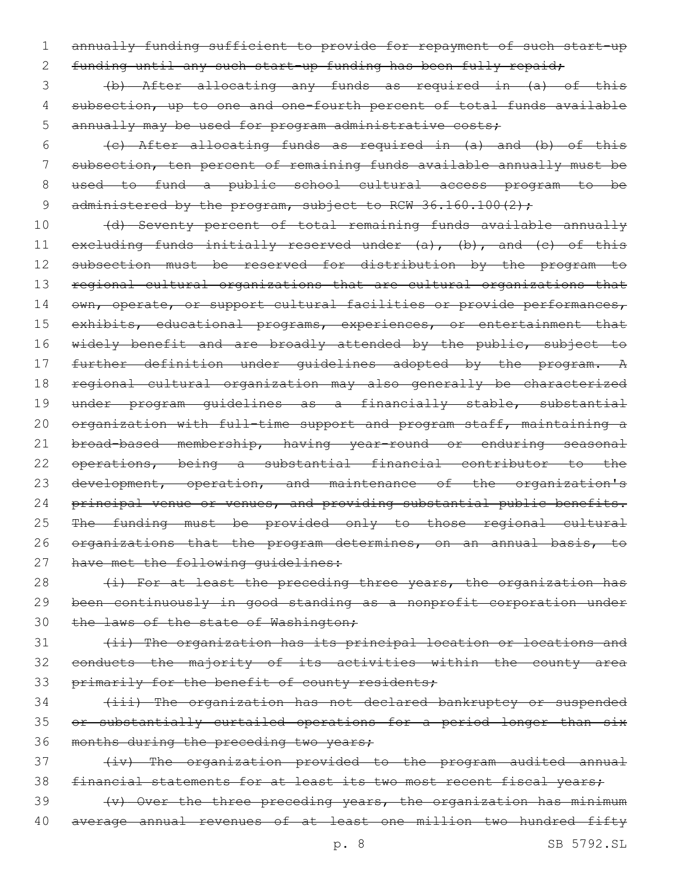1 annually funding sufficient to provide for repayment of such start-up

2 funding until any such start-up funding has been fully repaid;

3 (b) After allocating any funds as required in (a) of this 4 subsection, up to one and one-fourth percent of total funds available 5 annually may be used for program administrative costs;

 $(e)$  After allocating funds as required in  $(a)$  and  $(b)$  of this subsection, ten percent of remaining funds available annually must be used to fund a public school cultural access program to be 9 administered by the program, subject to RCW 36.160.100(2);

10 (d) Seventy percent of total remaining funds available annually 11 excluding funds initially reserved under (a), (b), and (c) of this 12 subsection must be reserved for distribution by the program to 13 regional cultural organizations that are cultural organizations that 14 own, operate, or support cultural facilities or provide performances, 15 exhibits, educational programs, experiences, or entertainment that 16 widely benefit and are broadly attended by the public, subject to 17 further definition under guidelines adopted by the program. A 18 regional cultural organization may also generally be characterized 19 under program guidelines as a financially stable, substantial 20 organization with full-time support and program staff, maintaining a 21 broad-based membership, having year-round or enduring seasonal 22 operations, being a substantial financial contributor to the 23 development, operation, and maintenance of the organization's 24 principal venue or venues, and providing substantial public benefits. 25 The funding must be provided only to those regional cultural 26 organizations that the program determines, on an annual basis, to 27 have met the following quidelines:

28  $(i)$  For at least the preceding three years, the organization has 29 been continuously in good standing as a nonprofit corporation under 30 the laws of the state of Washington;

31 (ii) The organization has its principal location or locations and 32 conducts the majority of its activities within the county area 33 primarily for the benefit of county residents;

34 (iii) The organization has not declared bankruptcy or suspended 35 or substantially curtailed operations for a period longer than six 36 months during the preceding two years;

37 (iv) The organization provided to the program audited annual 38 financial statements for at least its two most recent fiscal years;

 $39 \t\t\t (-y)$  Over the three preceding years, the organization has minimum 40 average annual revenues of at least one million two hundred fifty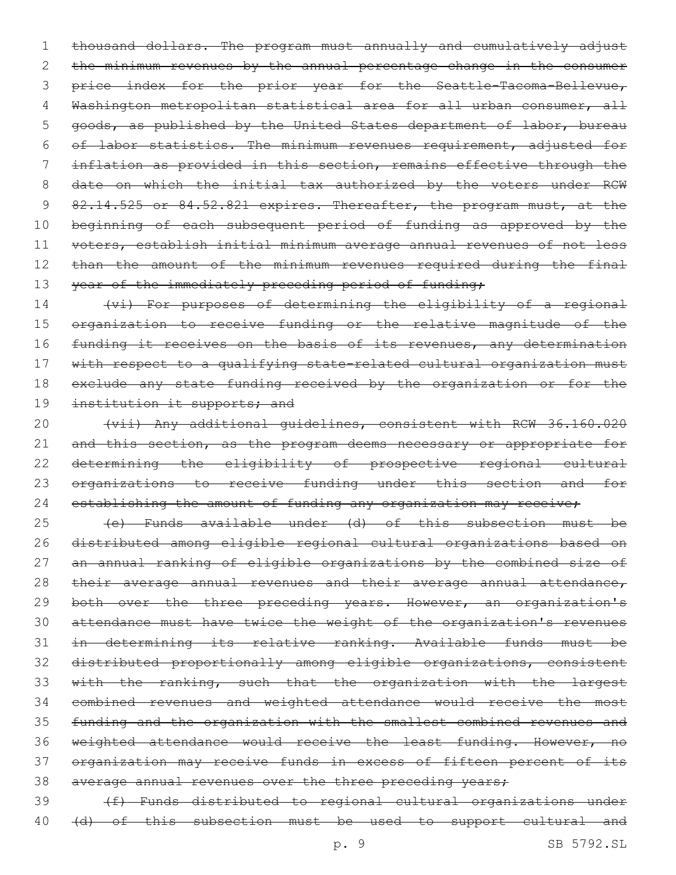1 thousand dollars. The program must annually and cumulatively adjust 2 the minimum revenues by the annual percentage change in the consumer 3 price index for the prior year for the Seattle-Tacoma-Bellevue, 4 Washington metropolitan statistical area for all urban consumer, all 5 goods, as published by the United States department of labor, bureau 6 of labor statistics. The minimum revenues requirement, adjusted for 7 inflation as provided in this section, remains effective through the 8 date on which the initial tax authorized by the voters under RCW 9 82.14.525 or 84.52.821 expires. Thereafter, the program must, at the 10 beginning of each subsequent period of funding as approved by the 11 voters, establish initial minimum average annual revenues of not less 12 than the amount of the minimum revenues required during the final 13 year of the immediately preceding period of funding;

14 (vi) For purposes of determining the eligibility of a regional 15 organization to receive funding or the relative magnitude of the 16 funding it receives on the basis of its revenues, any determination 17 with respect to a qualifying state-related cultural organization must 18 exclude any state funding received by the organization or for the 19 institution it supports; and

20 (vii) Any additional guidelines, consistent with RCW 36.160.020 21 and this section, as the program deems necessary or appropriate for 22 determining the eligibility of prospective regional cultural 23 organizations to receive funding under this section and for 24 establishing the amount of funding any organization may receive;

 (e) Funds available under (d) of this subsection must be distributed among eligible regional cultural organizations based on an annual ranking of eligible organizations by the combined size of 28 their average annual revenues and their average annual attendance, 29 both over the three preceding years. However, an organization's attendance must have twice the weight of the organization's revenues in determining its relative ranking. Available funds must be distributed proportionally among eligible organizations, consistent with the ranking, such that the organization with the largest combined revenues and weighted attendance would receive the most funding and the organization with the smallest combined revenues and 36 weighted attendance would receive the least funding. However, no organization may receive funds in excess of fifteen percent of its 38 average annual revenues over the three preceding years;

39 (f) Funds distributed to regional cultural organizations under 40 (d) of this subsection must be used to support cultural and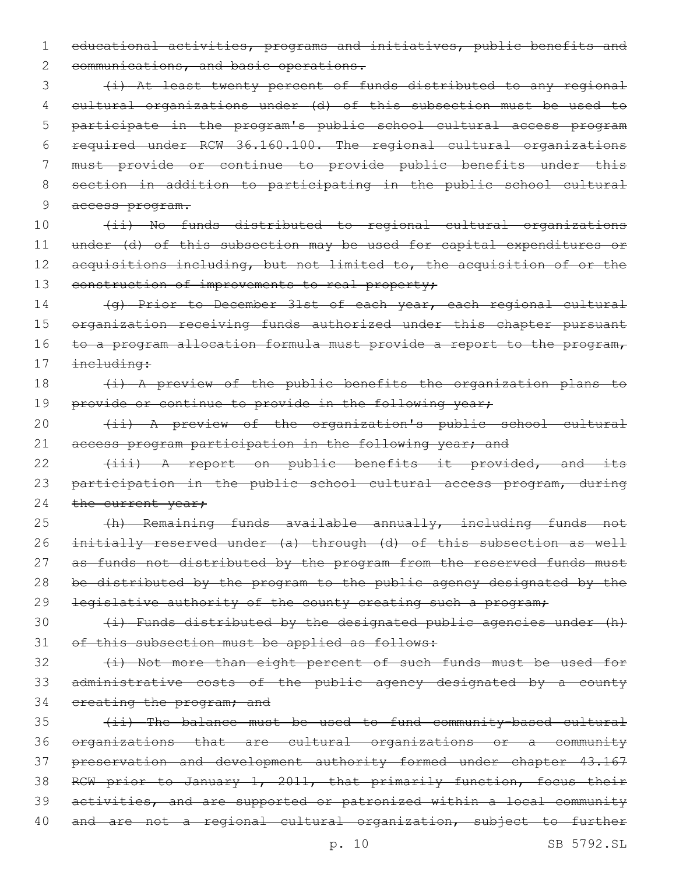1 educational activities, programs and initiatives, public benefits and

2 communications, and basic operations.

 (i) At least twenty percent of funds distributed to any regional cultural organizations under (d) of this subsection must be used to participate in the program's public school cultural access program required under RCW 36.160.100. The regional cultural organizations must provide or continue to provide public benefits under this section in addition to participating in the public school cultural access program.

10 (ii) No funds distributed to regional cultural organizations 11 under (d) of this subsection may be used for capital expenditures or 12 acquisitions including, but not limited to, the acquisition of or the 13 construction of improvements to real property;

14 (g) Prior to December 31st of each year, each regional cultural 15 organization receiving funds authorized under this chapter pursuant 16 to a program allocation formula must provide a report to the program, 17 including:

# 18 (i) A preview of the public benefits the organization plans to 19 provide or continue to provide in the following year;

20 (ii) A preview of the organization's public school cultural 21 access program participation in the following year; and

22 (iii) A report on public benefits it provided, and its 23 participation in the public school cultural access program, during 24 the current year;

25 (h) Remaining funds available annually, including funds not 26 initially reserved under (a) through (d) of this subsection as well 27 as funds not distributed by the program from the reserved funds must 28 be distributed by the program to the public agency designated by the 29 legislative authority of the county creating such a program;

 $30$  (i) Funds distributed by the designated public agencies under (h) 31 of this subsection must be applied as follows:

32 (i) Not more than eight percent of such funds must be used for 33 administrative costs of the public agency designated by a county 34 creating the program; and

 (ii) The balance must be used to fund community-based cultural organizations that are cultural organizations or a community preservation and development authority formed under chapter 43.167 RCW prior to January 1, 2011, that primarily function, focus their activities, and are supported or patronized within a local community 40 and are not a regional cultural organization, subject to further

p. 10 SB 5792.SL